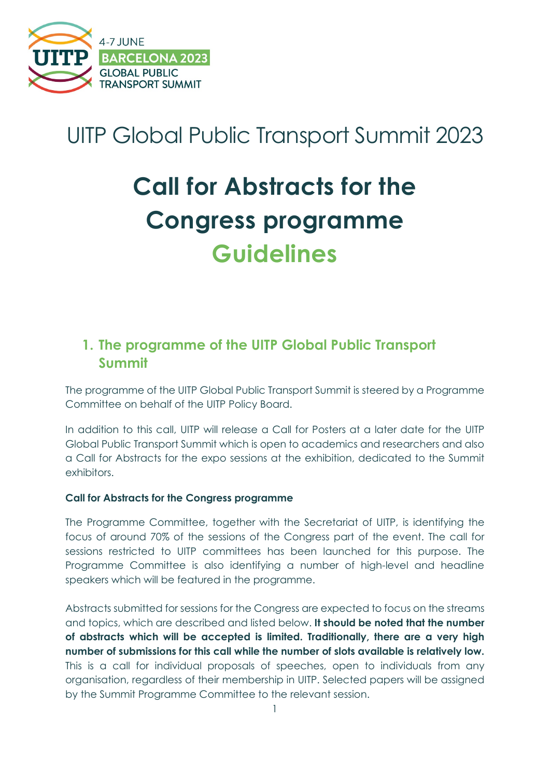

## UITP Global Public Transport Summit 2023

# **Call for Abstracts for the Congress programme Guidelines**

## **1. The programme of the UITP Global Public Transport Summit**

The programme of the UITP Global Public Transport Summit is steered by a Programme Committee on behalf of the UITP Policy Board.

In addition to this call, UITP will release a Call for Posters at a later date for the UITP Global Public Transport Summit which is open to academics and researchers and also a Call for Abstracts for the expo sessions at the exhibition, dedicated to the Summit exhibitors.

#### **Call for Abstracts for the Congress programme**

The Programme Committee, together with the Secretariat of UITP, is identifying the focus of around 70% of the sessions of the Congress part of the event. The call for sessions restricted to UITP committees has been launched for this purpose. The Programme Committee is also identifying a number of high-level and headline speakers which will be featured in the programme.

Abstracts submitted for sessions for the Congress are expected to focus on the streams and topics, which are described and listed below. **It should be noted that the number of abstracts which will be accepted is limited. Traditionally, there are a very high number of submissions for this call while the number of slots available is relatively low.** This is a call for individual proposals of speeches, open to individuals from any organisation, regardless of their membership in UITP. Selected papers will be assigned by the Summit Programme Committee to the relevant session.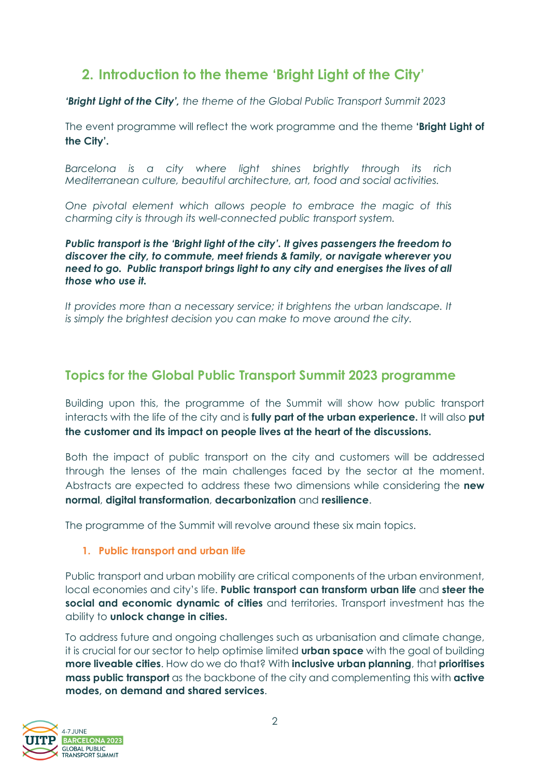## **2. Introduction to the theme 'Bright Light of the City'**

*'Bright Light of the City', the theme of the Global Public Transport Summit 2023*

The event programme will reflect the work programme and the theme **'Bright Light of the City'.**

*Barcelona is a city where light shines brightly through its rich Mediterranean culture, beautiful architecture, art, food and social activities.*

*One pivotal element which allows people to embrace the magic of this charming city is through its well-connected public transport system.*

*Public transport is the 'Bright light of the city'. It gives passengers the freedom to discover the city, to commute, meet friends & family, or navigate wherever you need to go. Public transport brings light to any city and energises the lives of all those who use it.* 

*It provides more than a necessary service; it brightens the urban landscape. It is simply the brightest decision you can make to move around the city.*

### **Topics for the Global Public Transport Summit 2023 programme**

Building upon this, the programme of the Summit will show how public transport interacts with the life of the city and is **fully part of the urban experience.** It will also **put the customer and its impact on people lives at the heart of the discussions.**

Both the impact of public transport on the city and customers will be addressed through the lenses of the main challenges faced by the sector at the moment. Abstracts are expected to address these two dimensions while considering the **new normal**, **digital transformation**, **decarbonization** and **resilience**.

The programme of the Summit will revolve around these six main topics.

#### **1. Public transport and urban life**

Public transport and urban mobility are critical components of the urban environment, local economies and city's life. **Public transport can transform urban life** and **steer the social and economic dynamic of cities** and territories. Transport investment has the ability to **unlock change in cities.**

To address future and ongoing challenges such as urbanisation and climate change, it is crucial for our sector to help optimise limited **urban space** with the goal of building **more liveable cities**. How do we do that? With **inclusive urban planning**, that **prioritises mass public transport** as the backbone of the city and complementing this with **active modes, on demand and shared services**.

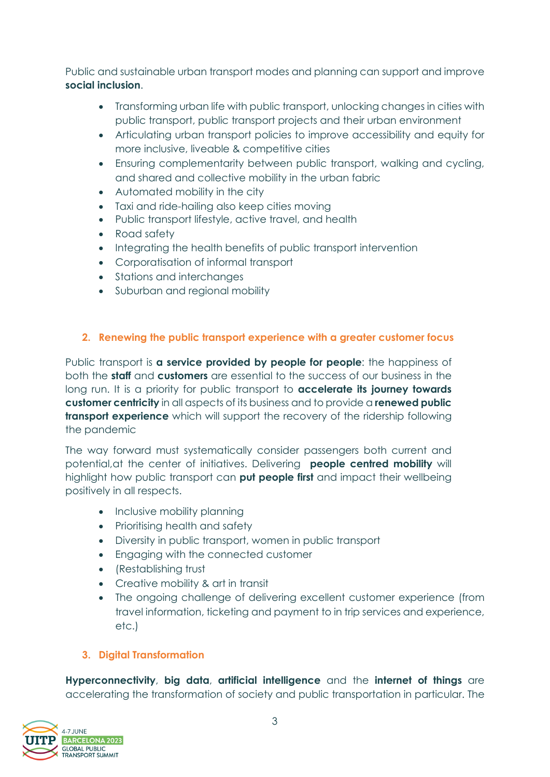Public and sustainable urban transport modes and planning can support and improve **social inclusion**.

- Transforming urban life with public transport, unlocking changes in cities with public transport, public transport projects and their urban environment
- Articulating urban transport policies to improve accessibility and equity for more inclusive, liveable & competitive cities
- Ensuring complementarity between public transport, walking and cycling, and shared and collective mobility in the urban fabric
- Automated mobility in the city
- Taxi and ride-hailing also keep cities moving
- Public transport lifestyle, active travel, and health
- Road safety
- Integrating the health benefits of public transport intervention
- Corporatisation of informal transport
- Stations and interchanges
- Suburban and regional mobility

#### **2. Renewing the public transport experience with a greater customer focus**

Public transport is **a service provided by people for people**: the happiness of both the **staff** and **customers** are essential to the success of our business in the long run. It is a priority for public transport to **accelerate its journey towards customer centricity** in all aspects of its business and to provide a **renewed public transport experience** which will support the recovery of the ridership following the pandemic

The way forward must systematically consider passengers both current and potential,at the center of initiatives. Delivering **people centred mobility** will highlight how public transport can **put people first** and impact their wellbeing positively in all respects.

- Inclusive mobility planning
- Prioritising health and safety
- Diversity in public transport, women in public transport
- Engaging with the connected customer
- (Restablishing trust
- Creative mobility & art in transit
- The ongoing challenge of delivering excellent customer experience (from travel information, ticketing and payment to in trip services and experience, etc.)

#### **3. Digital Transformation**

**Hyperconnectivity**, **big data**, **artificial intelligence** and the **internet of things** are accelerating the transformation of society and public transportation in particular. The

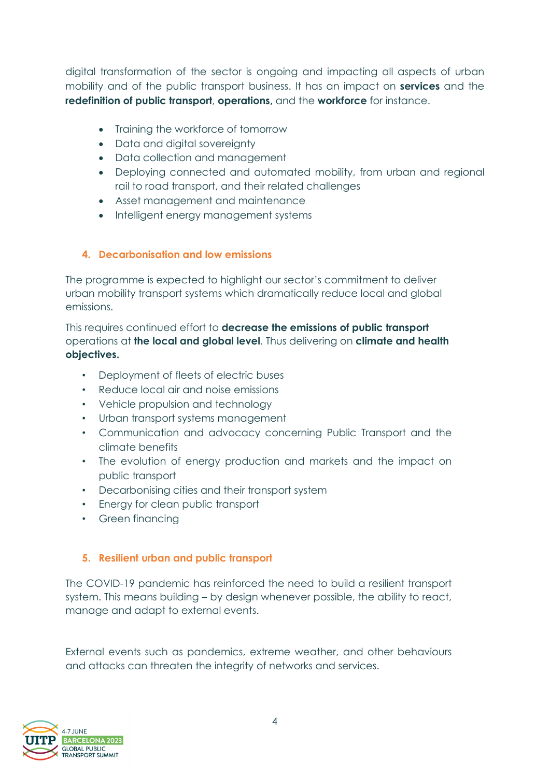digital transformation of the sector is ongoing and impacting all aspects of urban mobility and of the public transport business. It has an impact on **services** and the **redefinition of public transport**, **operations,** and the **workforce** for instance.

- Training the workforce of tomorrow
- Data and digital sovereignty
- Data collection and management
- Deploying connected and automated mobility, from urban and regional rail to road transport, and their related challenges
- Asset management and maintenance
- Intelligent energy management systems

#### **4. Decarbonisation and low emissions**

The programme is expected to highlight our sector's commitment to deliver urban mobility transport systems which dramatically reduce local and global emissions.

This requires continued effort to **decrease the emissions of public transport** operations at **the local and global level**. Thus delivering on **climate and health objectives.**

- Deployment of fleets of electric buses
- Reduce local air and noise emissions
- Vehicle propulsion and technology
- Urban transport systems management
- Communication and advocacy concerning Public Transport and the climate benefits
- The evolution of energy production and markets and the impact on public transport
- Decarbonising cities and their transport system
- Energy for clean public transport
- Green financing

#### **5. Resilient urban and public transport**

The COVID-19 pandemic has reinforced the need to build a resilient transport system. This means building – by design whenever possible, the ability to react, manage and adapt to external events.

External events such as pandemics, extreme weather, and other behaviours and attacks can threaten the integrity of networks and services.

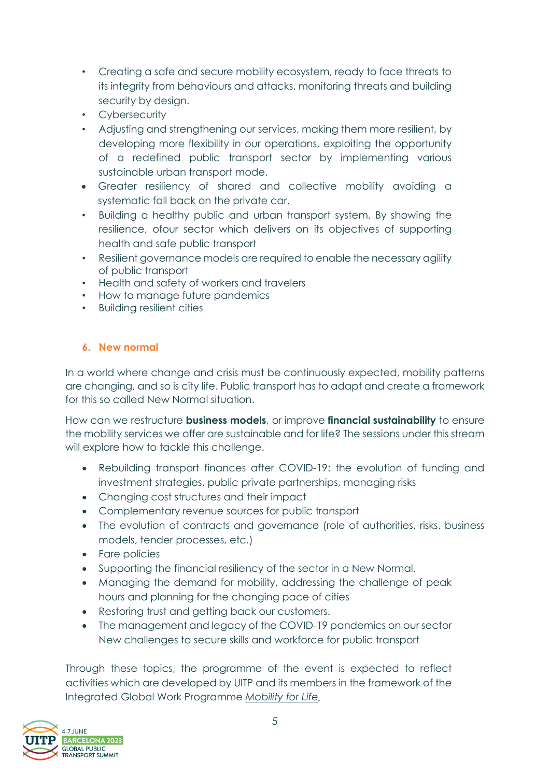- Creating a safe and secure mobility ecosystem, ready to face threats to its integrity from behaviours and attacks, monitoring threats and building security by design.
- Cybersecurity
- Adjusting and strengthening our services, making them more resilient, by developing more flexibility in our operations, exploiting the opportunity of a redefined public transport sector by implementing various sustainable urban transport mode.
- Greater resiliency of shared and collective mobility avoiding a systematic fall back on the private car.
- Building a healthy public and urban transport system. By showing the resilience, ofour sector which delivers on its objectives of supporting health and safe public transport
- Resilient governance models are required to enable the necessary agility of public transport
- Health and safety of workers and travelers
- How to manage future pandemics
- Building resilient cities

#### **6. New normal**

In a world where change and crisis must be continuously expected, mobility patterns are changing, and so is city life. Public transport has to adapt and create a framework for this so called New Normal situation.

How can we restructure **business models**, or improve **financial sustainability** to ensure the mobility services we offer are sustainable and for life? The sessions under this stream will explore how to tackle this challenge.

- Rebuilding transport finances after COVID-19: the evolution of funding and investment strategies, public private partnerships, managing risks
- Changing cost structures and their impact
- Complementary revenue sources for public transport
- The evolution of contracts and governance (role of authorities, risks, business models, tender processes, etc.)
- Fare policies
- Supporting the financial resiliency of the sector in a New Normal.
- Managing the demand for mobility, addressing the challenge of peak hours and planning for the changing pace of cities
- Restoring trust and getting back our customers.
- The management and legacy of the COVID-19 pandemics on our sector New challenges to secure skills and workforce for public transport

Through these topics, the programme of the event is expected to reflect activities which are developed by UITP and its members in the framework of the Integrated Global Work Programme *[Mobility for Life.](https://www.uitp.org/campaigns/mobility-for-life/)* 

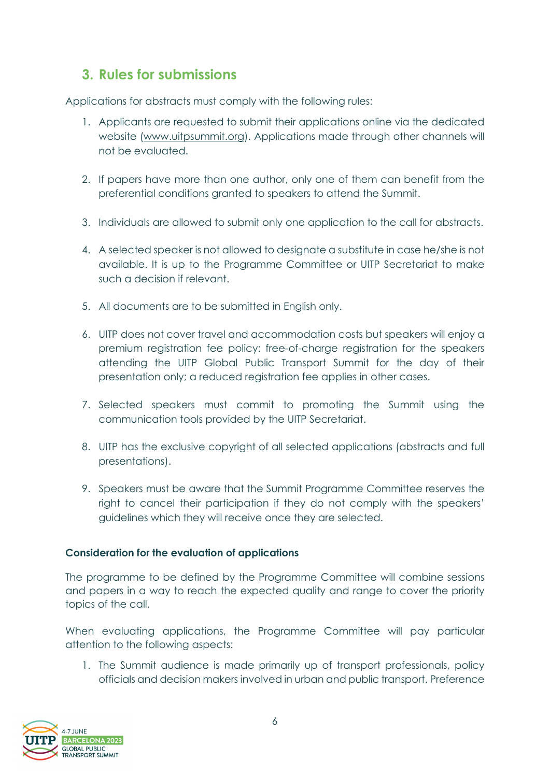## **3. Rules for submissions**

Applications for abstracts must comply with the following rules:

- 1. Applicants are requested to submit their applications online via the dedicated website [\(www.uitpsummit.org\)](http://www.uitpsummit.org/). Applications made through other channels will not be evaluated.
- 2. If papers have more than one author, only one of them can benefit from the preferential conditions granted to speakers to attend the Summit.
- 3. Individuals are allowed to submit only one application to the call for abstracts.
- 4. A selected speaker is not allowed to designate a substitute in case he/she is not available. It is up to the Programme Committee or UITP Secretariat to make such a decision if relevant.
- 5. All documents are to be submitted in English only.
- 6. UITP does not cover travel and accommodation costs but speakers will enjoy a premium registration fee policy: free-of-charge registration for the speakers attending the UITP Global Public Transport Summit for the day of their presentation only; a reduced registration fee applies in other cases.
- 7. Selected speakers must commit to promoting the Summit using the communication tools provided by the UITP Secretariat.
- 8. UITP has the exclusive copyright of all selected applications (abstracts and full presentations).
- 9. Speakers must be aware that the Summit Programme Committee reserves the right to cancel their participation if they do not comply with the speakers' guidelines which they will receive once they are selected.

#### **Consideration for the evaluation of applications**

The programme to be defined by the Programme Committee will combine sessions and papers in a way to reach the expected quality and range to cover the priority topics of the call.

When evaluating applications, the Programme Committee will pay particular attention to the following aspects:

1. The Summit audience is made primarily up of transport professionals, policy officials and decision makers involved in urban and public transport. Preference